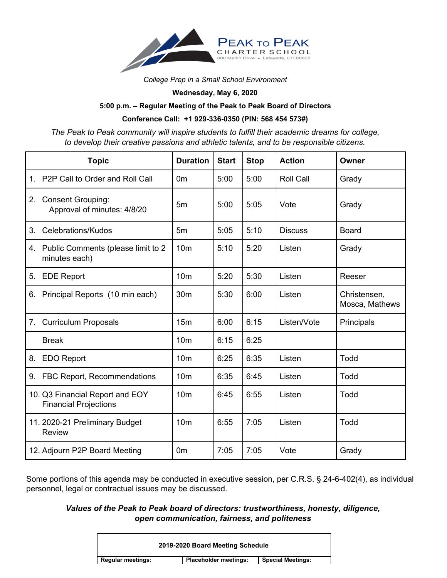

*College Prep in a Small School Environment*

**Wednesday, May 6, 2020**

## **5:00 p.m. – Regular Meeting of the Peak to Peak Board of Directors**

## **Conference Call: +1 929-336-0350 (PIN: 568 454 573#)**

*The Peak to Peak community will inspire students to fulfill their academic dreams for college, to develop their creative passions and athletic talents, and to be responsible citizens.*

|         | <b>Topic</b>                                                    | <b>Duration</b> | <b>Start</b> | <b>Stop</b> | <b>Action</b>    | Owner                          |
|---------|-----------------------------------------------------------------|-----------------|--------------|-------------|------------------|--------------------------------|
|         | 1. P2P Call to Order and Roll Call                              | 0m              | 5:00         | 5:00        | <b>Roll Call</b> | Grady                          |
| 2.      | <b>Consent Grouping:</b><br>Approval of minutes: 4/8/20         | 5 <sub>m</sub>  | 5:00         | 5:05        | Vote             | Grady                          |
| $3_{-}$ | Celebrations/Kudos                                              | 5 <sub>m</sub>  | 5:05         | 5:10        | <b>Discuss</b>   | Board                          |
| 4.      | Public Comments (please limit to 2<br>minutes each)             | 10 <sub>m</sub> | 5:10         | 5:20        | Listen           | Grady                          |
| 5.      | <b>EDE Report</b>                                               | 10 <sub>m</sub> | 5:20         | 5:30        | Listen           | Reeser                         |
| 6.      | Principal Reports (10 min each)                                 | 30 <sub>m</sub> | 5:30         | 6:00        | Listen           | Christensen,<br>Mosca, Mathews |
| 7.      | <b>Curriculum Proposals</b>                                     | 15 <sub>m</sub> | 6:00         | 6:15        | Listen/Vote      | Principals                     |
|         | <b>Break</b>                                                    | 10 <sub>m</sub> | 6:15         | 6:25        |                  |                                |
|         | 8. EDO Report                                                   | 10 <sub>m</sub> | 6:25         | 6:35        | Listen           | Todd                           |
|         | 9. FBC Report, Recommendations                                  | 10 <sub>m</sub> | 6:35         | 6:45        | Listen           | Todd                           |
|         | 10. Q3 Financial Report and EOY<br><b>Financial Projections</b> | 10 <sub>m</sub> | 6:45         | 6:55        | Listen           | Todd                           |
|         | 11. 2020-21 Preliminary Budget<br><b>Review</b>                 | 10 <sub>m</sub> | 6:55         | 7:05        | Listen           | Todd                           |
|         | 12. Adjourn P2P Board Meeting                                   | 0m              | 7:05         | 7:05        | Vote             | Grady                          |

Some portions of this agenda may be conducted in executive session, per C.R.S. § 24-6-402(4), as individual personnel, legal or contractual issues may be discussed.

## *Values of the Peak to Peak board of directors: trustworthiness, honesty, diligence, open communication, fairness, and politeness*

| 2019-2020 Board Meeting Schedule |                              |                          |  |  |  |
|----------------------------------|------------------------------|--------------------------|--|--|--|
| <b>Regular meetings:</b>         | <b>Placeholder meetings:</b> | <b>Special Meetings:</b> |  |  |  |